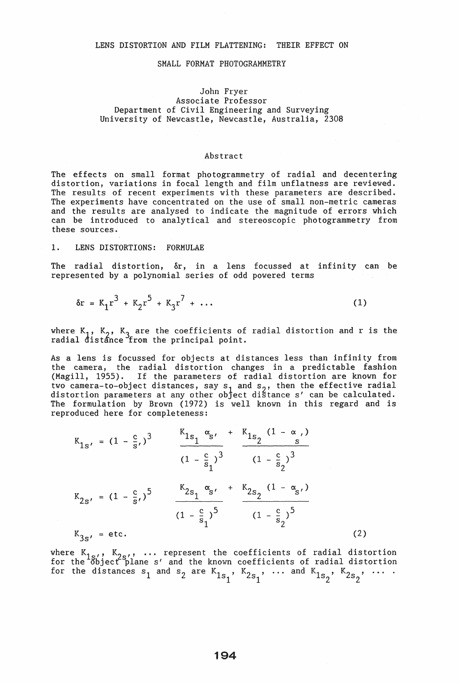## LENS DISTORTION AND FILM FLATTENING: THEIR EFFECT ON

#### SMALL FORMAT PHOTOGRAMMETRY

# John Fryer Associate Professor Department of Civil Engineering and Surveying University of Newcastle, Newcastle, Australia, 2308

#### Abstract

The effects on small format photogrammetry of radial and decentering distortion, variations in focal length and film unflatness are reviewed. The results of recent experiments with these parameters are described. The experiments have concentrated on the use of small non-metric cameras and the results are analysed to indicate the magnitude of errors which can be introduced to analytical and stereoscopic photogrammetry from these sources.

## 1. LENS DISTORTIONS: FORMULAE

The radial distortion,  $\delta r$ , in a lens focussed at infinity can be represented by a polynomial series of odd powered terms

$$
\delta r = K_1 r^3 + K_2 r^5 + K_3 r^7 + \dots \tag{1}
$$

where  $K_1$ ,  $K_2$ ,  $K_3$  are the coefficients of radial distortion and r is the radial distance from the principal point.

As a lens is focussed for objects at distances less than infinity from the camera, the radial distortion changes in a predictable fashion (Magill, 1955). If the parameters of radial distortion are known for two camera-to-object distances, say  $s_1$  and  $s_2$ , then the effective radial distortion parameters at any other object distance s' can be calculated. The formulation by Brown (1972) is well known in this regard and is reproduced here for completeness:

$$
K_{1s'} = (1 - \frac{c}{s'})^3
$$
  
\n
$$
\frac{K_{1s_1} \alpha_{s'}}{(1 - \frac{c}{s_1})^3}
$$
  
\n
$$
\frac{K_{1s_2} \alpha_{s'}}{(1 - \frac{c}{s_1})^3}
$$
  
\n
$$
\frac{K_{2s_1} \alpha_{s'}}{(1 - \frac{c}{s_1})^5}
$$
  
\n
$$
\frac{K_{2s_1} \alpha_{s'}}{(1 - \frac{c}{s_1})^5}
$$
  
\n
$$
\frac{K_{2s_2} (1 - \alpha_{s'})}{(1 - \frac{c}{s_2})^5}
$$
  
\n
$$
K_{3s'} = \text{etc.}
$$
  
\n(2)

where  $K_{1s'}$ ,  $K_{2s'}$ , ... represent the coefficients of radial distortion for the  $36/18$  s  $25/12$  and the known coefficients of radial distortion for the distances  $s_1$  and  $s_2$  are  $K_{1s_1}$ ,  $K_{2s_1}$ , ... and  $K_{1s_2}$ ,  $K_{2s_2}$ ,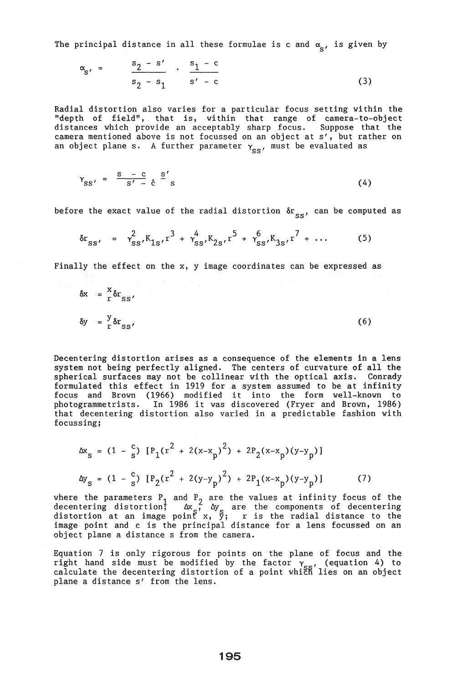The principal distance in all these formulae is c and  $\alpha_{\rm g}$ , is given by

$$
\alpha_{s'} = \frac{s_2 - s'}{s_2 - s_1} \cdot \frac{s_1 - c}{s' - c}
$$
 (3)

Radial distortion also varies for a particular focus setting within the "depth of field", that is, within that range of camera-to-object distances which provide an acceptably sharp focus. Suppose that the camera mentioned above is not focussed on an object at s', but rather on an object plane s. A further parameter  $\gamma_{_{\rm SS}}^{\phantom{\dag}}$ , must be evaluated as

$$
\gamma_{SS'} = \frac{s - c}{s' - c} \frac{s'}{s} \tag{4}
$$

before the exact value of the radial distortion  $\delta r_{_{\bf SS'}}$  can be computed as

$$
\delta r_{SS'} = \gamma_{SS'}^2 K_{1S'} r^3 + \gamma_{SS'}^4 K_{2S'} r^5 + \gamma_{SS'}^6 K_{3S'} r^7 + \dots \qquad (5)
$$

Finally the effect on the  $x$ ,  $y$  image coordinates can be expressed as

$$
\delta x = \frac{x}{r} \delta r_{SS'},
$$
  
\n
$$
\delta y = \frac{y}{r} \delta r_{SS'},
$$
 (6)

Decentering distortion arises as a consequence of the elements in a lens system not being perfectly aligned. The centers of curvature of all the spherical surfaces may not be collinear with the optical axis. Conrady formulated this effect in 1919 for a system assumed to be at infinity focus and Brown (1966) modified it into the form well-known to photogtammetrists. In 1986 it was discovered (Fryer and Brown, 1986) that decentering distortion also varied in a predictable fashion with focussing;

$$
\Delta x_{s} = (1 - \frac{c}{s}) [\{P_{1}(r^{2} + 2(x - x_{p})^{2}) + 2P_{2}(x - x_{p})(y - y_{p})]
$$
  
\n
$$
\Delta y_{s} = (1 - \frac{c}{s}) [\{P_{2}(r^{2} + 2(y - y_{p})^{2}) + 2P_{1}(x - x_{p})(y - y_{p})]
$$
\n(7)

where the parameters  $P_1$  and  $P_2$  are the values at infinity focus of the decentering distortion;  $\Delta x$ ,  $\Delta y$  are the components of decentering distortion at an image point  $x, \overline{y}$ ; r is the radial distance to the image point and c is the principal distance for a lens focussed on an object plane a distance s from the camera.

Equation 7 is only rigorous for points on the plane of focus and the right hand side must be modified by the factor  $\gamma_{\rm esc}$ , (equation 4) to calculate the decentering distortion of a point which lies on an object plane a distance s' from the lens.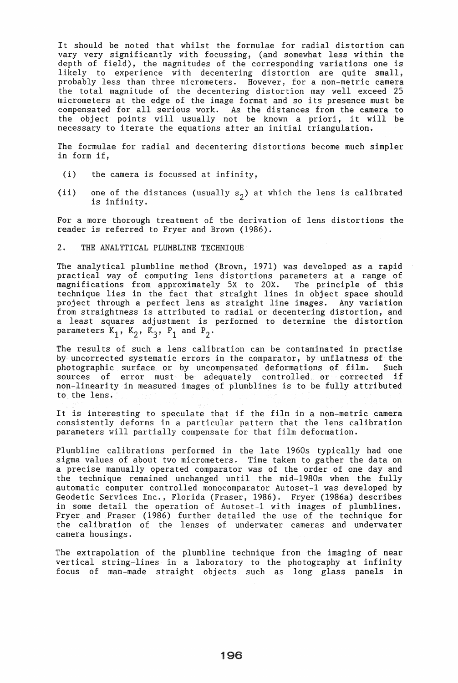It should be noted that whilst the formulae for radial distortion can vary very significantly with focussing, (and somewhat less within the depth of field), the magnitudes of the corresponding variations one is likely to experience with decentering distortion are quite small, probably less than three micrometers. However, for a non-metric camera the total magnitude of the decentering distortion may well exceed 25 micrometers at the edge of the image format and so its presence must be compensated for all serious work. As the distances from the camera to the object points will usually not be known a priori, it will be necessary to iterate the equations after an initial triangulation.

The formulae for radial and decentering distortions become much simpler in form if,

- (i) the camera is focussed at infinity,
- (ii) one of the distances (usually  $s_2$ ) at which the lens is calibrated is infinity.

For a more thorough treatment of the derivation of lens distortions the reader is referred to Fryer and Brown (1986).

#### 2. THE ANALYTICAL PLUMBLINE TECHNIQUE

The analytical plumbline method (Brown, 1971) was developed as a rapid practical way of computing lens distortions parameters at a range of magnifications from approximately 5X to 20X. The principle of this magnifications from approximately 5X to 20X. technique lies in the fact that straight lines in object space should<br>project through a perfect lens as straight line images. Any variation project through a perfect lens as straight line images. from straightness is attributed to radial or decentering distortion, and a least squares adjustment is performed to determine the distortion parameters  $K_1$ ,  $K_2$ ,  $K_3$ ,  $P_1$  and  $P_2$ .

The results of such a lens calibration can be contaminated in practise by uncorrected systematic errors in the comparator, by unflatness of the photographic surface or by uncompensated deformations of film. Such sources of error must be adequately controlled or corrected if non-linearity in measured images of plumblines is to be fully attributed to the lens.

It is interesting to speculate that if the film in a non-metric camera consistently deforms in a particular pattern that the lens calibration parameters will partially compensate for that film deformation.

Plumbline calibrations performed in the late 1960s typically had one sigma values of about two micrometers. Time taken to gather the data on a precise manually operated comparator was of the order of one day and the technique remained unchanged until the mid-1980s when the fully automatic computer controlled monocomparator Autoset-1 was developed by Geodetic Services Inc., Florida (Fraser, 1986). Fryer (1986a) describes in some detail the operation of Autoset-1 with images of plumblines. Fryer and Fraser (1986) further detailed the use of the technique for the calibration of the lenses of underwater cameras and underwater camera housings.

The extrapolation of the plumbline technique from the imaging of near vertical string-lines in a laboratory to the photography at infinity focus of man-made straight objects such as long glass panels in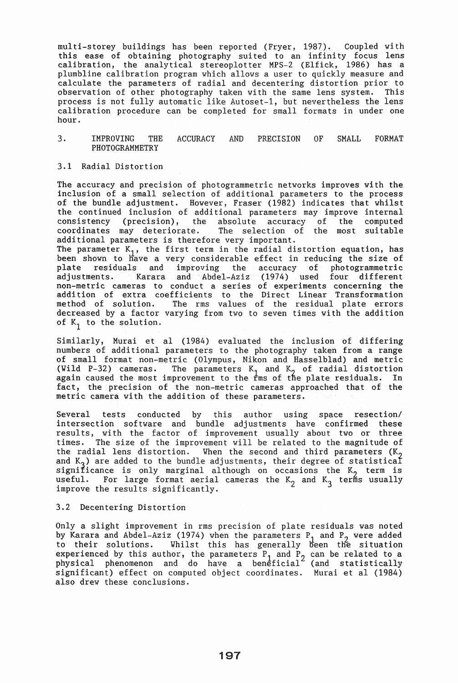multi-storey buildings has been reported (Fryer, 1987). Coupled with this ease of obtaining photography suited to an infinity focus lens calibration, the analytical stereoplotter MPS-2 (Elfick, 1986) has a plumbline calibration program which allows a user to quickly measure and calculate the parameters of radial and decentering distortion prior to observation of other photography taken with the same lens system. This process is not fully automatic like Autoset-1, but nevertheless the lens calibration procedure can be completed for small formats in under one hour.

3. IMPROVING THE ACCURACY AND PRECISION OF SMALL FORMAT PHOTOGRAMMETRY

## 3.1 Radial Distortion

The accuracy and precision of photogrammetric networks improves with the inclusion of a small selection of additional parameters to the process of the bundle adjustment. However, Fraser (1982) indicates that whilst the continued inclusion of additional parameters may improve internal consistency (precision), the absolute accuracy of the computed coordinates may deteriorate. The selection of the most suitable additional parameters is therefore very important. The parameter  $K_1$ , the first term in the radial distortion equation, has been shown to have a very considerable effect in reducing the size of plate residuals and improving the accuracy of photogrammetric adjustments. Karara and Abdel-Aziz (1974) used four different non-metric cameras to conduct a series of experiments concerning the addition of extra coefficients to the Direct Linear Transformation<br>method of solution. The rms values of the residual plate errors The rms values of the residual plate errors decreased by a factor varying from two to seven times with the addition of  $K_1$  to the solution.

Similarly, Murai et al (1984) evaluated the inclusion of differing numbers of additional parameters to the photography taken from a range of small format non-metric (Olympus, Nikon and Hasselblad) and metric (Wild P-32) cameras. The parameters  $K_1$  and  $K_2$  of radial distortion again caused the most improvement to the  $\frac{1}{k}$ ms of the plate residuals. In fact, the precision of the non-metric cameras approached that of the metric camera with the addition of these parameters.

Several tests conducted by this author using space resection/ intersection software and bundle adjustments have confirmed these results, with the factor of improvement usually about two or three times. The size of the improvement will be related to the magnitude of the radial lens distortion. When the second and third parameters  $(K_2)$ and  $K_2$ ) are added to the bundle adjustments, their degree of statistical significance is only marginal although on occasions the  $K<sub>2</sub>$  term is useful. For large format aerial cameras the  $K_2$  and  $K_3$  terms usually improve the results significantly.

## 3.2 Decentering Distortion

Only a slight improvement in rms precision of plate residuals was noted by Karara and Abdel-Aziz (1974) when the parameters  $P_1$  and  $P_2$  were added to their solutions. Whilst this has generally been the situation experienced by this author, the parameters  $P_1$  and  $P_2$  can be related to a physical phenomenon and do have a beneficial (and statistically significant) effect on computed object coordinates. Murai et al (1984) also drew these conclusions.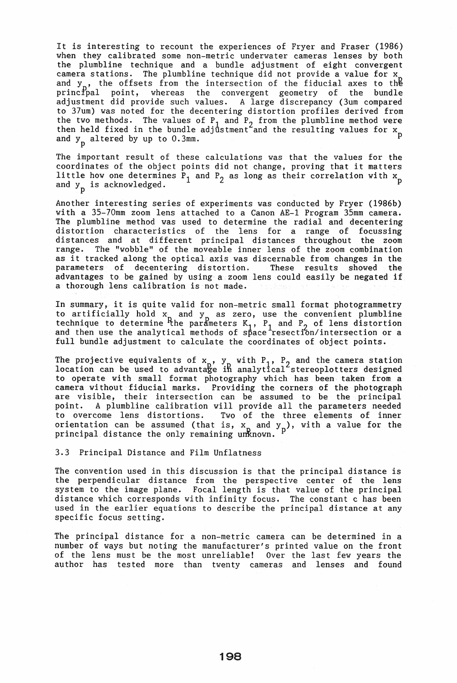It is interesting to recount the experiences of Fryer and Fraser (1986) when they calibrated some non-metric underwater cameras lenses by both the plumbline technique and a bundle adjustment of eight convergent camera stations. The plumbline technique did not provide a value for x and  $y_n$ , the offsets from the intersection of the fiducial axes to the principal point, whereas the convergent geometry of the bundle adjustment did provide such values. A large discrepancy (3um compared to 37um) was noted for the decentering distortion profiles derived from the two methods. The values of  $P_1$  and  $P_2$  from the plumbline method were then held fixed in the bundle adjustment and the resulting values for  $x_n$ and  $y_p$  altered by up to 0.3mm.

The important result of these calculations was that the values for the coordinates of the object points did not change, proving that it matters little how one determines  $P_1$  and  $P_2$  as long as their correlation with  $x_p$ and  $y_n$  is acknowledged.

Another interesting series of experiments was conducted by Fryer (1986b) with a 35-70mm zoom lens attached to a Canon AE-1 Program 35mm camera. The plumbline method was used to determine the radial and decentering distortion characteristics of the lens for a range of focussing distances and at different principal distances throughout the zoom range. The "wobble" of the moveable inner lens of the zoom combination as it tracked along the optical axis was discernable from changes in the parameters of decentering distortion. These results showed the parameters of decentering distortion. advantages to be gained by using a zoom lens could easily be negated if a thorough lens calibration is not made.

In summary, it is quite valid for non-metric small format photogrammetry to artificially hold  $x_n$  and  $y_n$  as zero, use the convenient plumbline technique to determine <sup>P</sup>the parameters  $K_1$ ,  $P_1$  and  $P_2$  of lens distortion and then use the analytical methods of space resection/intersection or a full bundle adjustment to calculate the coordinates of object points.

The projective equivalents of  $x_0$ ,  $y_1$  with  $P_1$ ,  $P_2$  and the camera station location can be used to advantage in analytical stereoplotters designed to operate wi th small format photography which has been taken from a camera without fiducial marks. Providing the corners of the photograph are visible, their intersection can be assumed to be the principal<br>point. A plumbline calibration will provide all the parameters needed point. A plumbline calibration will provide all the parameters needed to overcome lens distortions. Two of the three elements of inner Two of the three elements of inner orientation can be assumed (that is,  $x$  and  $y$  ), with a value for the principal distance the only remaining unknown.

3.3 Principal Distance and Film Unflatness

The convention used in this discussion is that the principal distance is the perpendicular distance from the perspective center of the lens system to the image plane. Focal length is that value of the principal distance which corresponds with infinity focus. The constant c has been used in the earlier equations to describe the principal distance at any specific focus setting.

The principal distance for a non-metric camera can be determined in a number of ways but noting the manufacturer's printed value on the front of the lens must be the most unreliable! Over the last few years the author has tested more than twenty cameras and lenses and found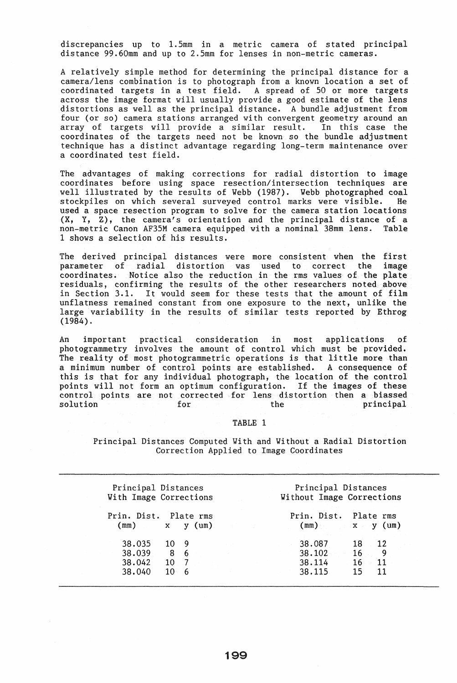discrepancies up to 1.5mm in a metric camera of stated principal distance 99.60mm and up to 2.5mm for lenses in non-metric cameras.

A relatively simple method for determining the principal distance for a camera/lens combination is to photograph from a known location a set of coordinated targets in a test field. A spread of 50 or more targets across the image format will usually provide a good estimate of the lens distortions as well as the principal distance. A bundle adjustment from four (or so) camera stations arranged with convergent geometry around an array of targets will provide a similar result. In this case the coordinates of the targets need not be known so the bundle adjustment technique has a distinct advantage regarding long-term maintenance over a coordinated test field.

The advantages of making corrections for radial distortion to image coordinates before using space resection/intersection techniques are well illustrated by the results of Webb (1987). Webb photographed coal<br>stockpiles on which several surveyed control marks were visible. He stockpiles on which several surveyed control marks were visible. used a space resection program to solve for the camera station locations  $(X, Y, Z)$ , the camera's orientation and the principal distance of a non-metric Canon AF35M camera equipped with a nominal 38mm lens. Table 1 shows a selection of his results.

The derived principal distances were more consistent when the first parameter of radial distortion was used to correct the image<br>coordinates. Notice also the reduction in the rms values of the plate cNotice also the reduction in the rms values of the plate residuals, confirming the results of the other researchers noted above<br>in Section 3.1. It would seem for these tests that the amount of film It would seem for these tests that the amount of film unflatness remained constant from one exposure to the next, unlike the large variability in the results of similar tests reported by Ethrog (1984).

An important practical consideration in most applications of photogrammetry involves the amount of control which must be provided. The reality of most photogrammetric operations is that little more than a minimum number of control points are es tablished. A consequence of this is that for any individual photograph, the location of the control points will not form an optimum configuration. If the images of these control points are not corrected for lens distortion then a biassed solution for the principal

# TABLE 1

Principal Distances Computed With and Without a Radial Distortion Correction Applied to Image Coordinates

| Principal Distances<br>With Image Corrections                                                         | Principal Distances<br>Without Image Corrections                        |
|-------------------------------------------------------------------------------------------------------|-------------------------------------------------------------------------|
| Prin. Dist.<br>Plate rms<br>and the stage<br>(mm)<br>$\mathbf X$<br>(u <sub>m</sub> )<br>$\mathbf{v}$ | Prin. Dist.<br>Plate rms<br>(mm)<br>$\mathbf{x} \times \mathbf{y}$ (um) |
| 38.035<br>10.<br>- 9<br>38.039<br>8<br>$-6$<br>38.042<br>10                                           | 38.087<br>12<br>18<br>38.102<br>16<br>9<br>38.114<br>16<br>-11          |
| 38.040<br>$10 \quad 6$                                                                                | 38.115<br>15<br>11                                                      |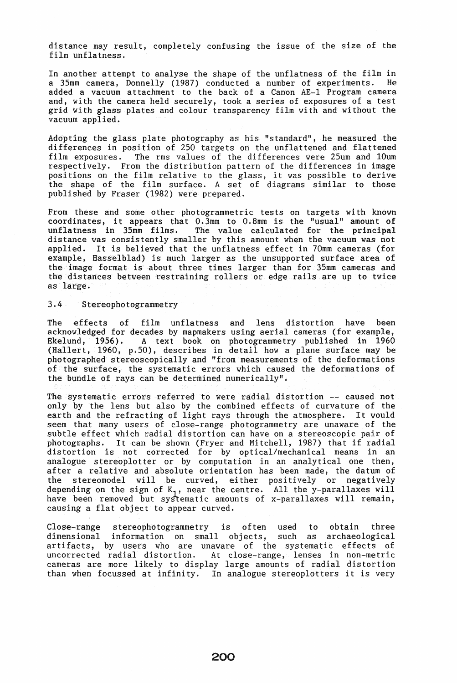distance may result, completely confusing the issue of the size of the film unflatness.

In another attempt to analyse the shape of the unflatness of the film in<br>a  $35$ <sup>nm</sup> camera. Donnelly (1987) conducted a number of experiments. He a 35mm camera, Donnelly (1987) conducted a number of experiments. added a vacuum attachment to the back of a Canon AE-1 Program camera and, with the camera held securely, took a series of exposures of a test grid with glass plates and colour transparency film with and without the vacuum applied.

Adopting the glass plate photography as his "standard", he measured the differences in position of 250 targets on the unflattened and flattened<br>film exposures. The rms values of the differences were 25um and 10um The rms values of the differences were 25um and 10um respectively. From the distribution pattern of the differences in image positions on the film relative to the glass, it was possible to derive the shape of the film surface. A set of diagrams similar to those published by Fraser (1982) were prepared.

From these and some other photogrammetric tests on targets with known coordinates, it appears that O.3mm to O.8mm is the "usual" amount of The value calculated for the principal distance was consistently smaller by this amount when the vacuum was not applied. It is believed that the unflatness effect in 70mm cameras (for example, Hasselblad) is much larger as the unsupported surface area of the image format is about three times larger than for 35mm cameras and the distances between restraining rollers or edge rails are up to twice as large.

## 3.4 Stereophotogrammetry

The effects of film unflatness and lens distortion have been acknowledged for decades by mapmakers using aerial cameras (for example, Ekelund, 1956). A text book on photogrammetry published in 1960 (Hallert, 1960, p.50), describes in detail how a plane surface may be photographed stereoscopically and "from measurements of the deformations of the surface, the systematic errors which caused the deformations of the bundle of rays can be determined numerically".

The systematic errors referred to were radial distortion -- caused not only by the lens but also by the combined effects of curvature of the earth and the refracting of light rays through the atmosphere. It would seem that many users of close-range photogrammetry are unaware of the subtle effect which radial distortion can have on a stereoscopic pair of photographs. It can be shown (Fryer and Mitchell, 1987) that if radial distortion is not corrected for by optical/mechanical means in an analogue stereoplotter or by computation in an analytical one then, after a relative and absolute orientation has been made, the datum of the stereomodel will be curved, either positively or negatively depending on the sign of  $K_1$ , near the centre. All the y-parallaxes will have been removed but systematic amounts of x-parallaxes will remain, causing a flat object to appear curved.

Close-range stereophotogrammetry is often used to obtain three dimensional information on small objects, such as archaeological dimensional information on small objects, such as archaeological artifacts, by users who are unaware of the systematic effects of uncorrected radial distortion. At close-range, lenses in non-metric cameras are more likely to display large amounts of radial distortion than when focussed at infinity. In analogue stereoplotters it is very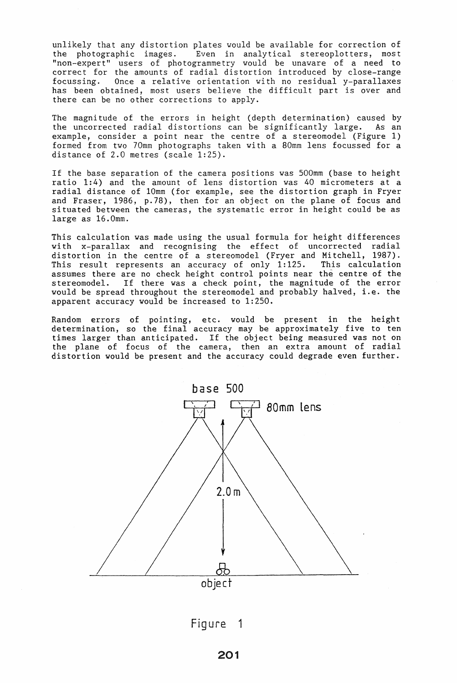unlikely that any distortion plates would be available for correction of the photographic images. Even in analytical stereoplotters, most "non-expert" users of photogrammetry would be unaware of a need to correct for the amounts of radial distortion introduced by close-range focussing. Once a relative orientation wi th no residual y-parallaxes has been obtained, most users believe the difficult part is over and there can be no other corrections to apply.

The magnitude of the errors in height (depth determination) caused by the uncorrected radial distortions can be significantly large. As an example, consider a point near the centre of a stereomodel (Figure 1) formed from two 70mm photographs taken with a 80mm lens focussed for a distance of 2.0 metres (scale 1:25).

If the base separation of the camera positions was 500mm (base to height ratio 1:4) and the amount of lens distortion was 40 micrometers at a radial distance of 10mm (for example, see the distortion graph in Fryer and Fraser, 1986, p.78), then for an object on the plane of focus and situated between the cameras, the systematic error in height could be as large as 16.0mm.

This calculation was made using the usual formula for height differences with x-parallax and recognising the effect of uncorrected radial distortion in the centre of a stereomodel (Fryer and Mitchell, 1987). This result represents an accuracy of only  $1:125$ . This calculation This result represents an accuracy of only 1:125. This calculation assumes there are no check height control points near the centre of the stereomodel. If there was a check point, the magnitude of the error would be spread throughout the stereomodel and probably halved, i.e. the apparent accuracy would be increased to 1:250.

Random errors of pointing, etc. would be present in the height determination, so the final accuracy may be approximately five to ten times larger than anticipated. If the object being measured was not on the plane of focus of the camera, then an extra amount of radial distortion would be present and the accuracy could degrade even further.



Figure 1